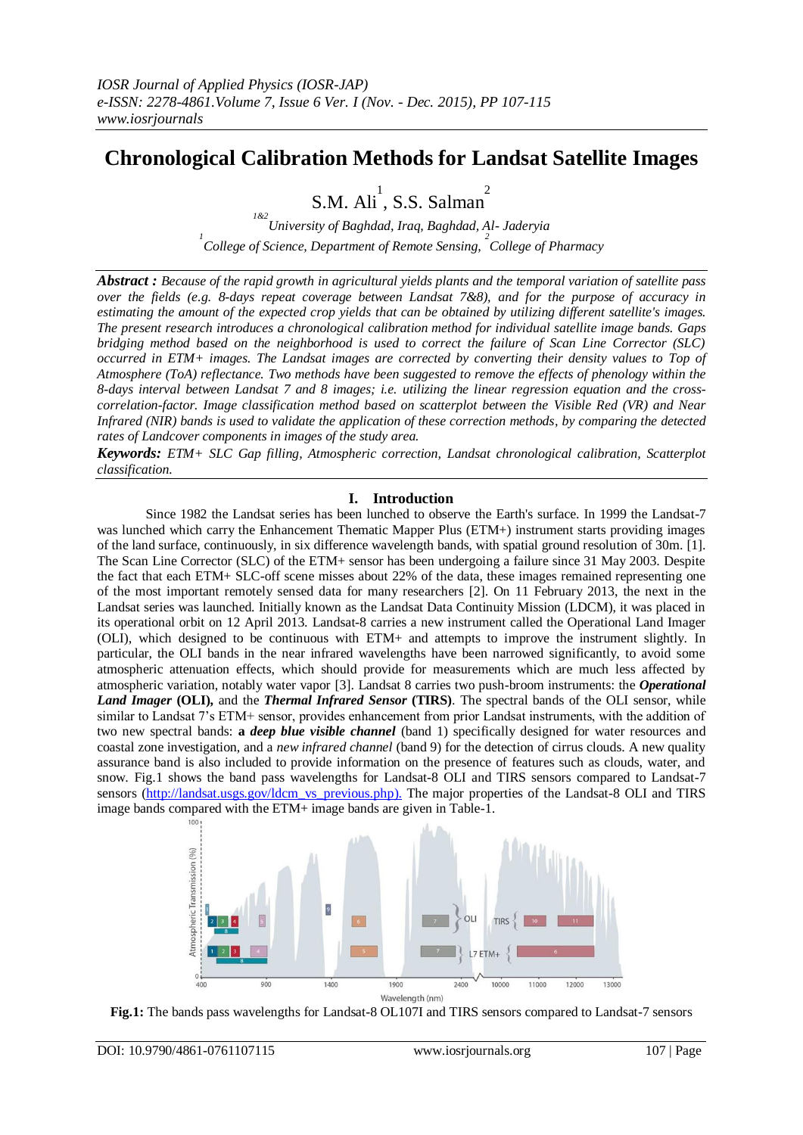# **Chronological Calibration Methods for Landsat Satellite Images**

S.M.  $\text{Ali}^1$ , S.S. Salman<sup>2</sup>

*1&2 University of Baghdad, Iraq, Baghdad, Al- Jaderyia 1 College of Science, Department of Remote Sensing, 2 College of Pharmacy*

*Abstract : Because of the rapid growth in agricultural yields plants and the temporal variation of satellite pass over the fields (e.g. 8-days repeat coverage between Landsat 7&8), and for the purpose of accuracy in estimating the amount of the expected crop yields that can be obtained by utilizing different satellite's images. The present research introduces a chronological calibration method for individual satellite image bands. Gaps bridging method based on the neighborhood is used to correct the failure of Scan Line Corrector (SLC) occurred in ETM+ images. The Landsat images are corrected by converting their density values to Top of Atmosphere (ToA) reflectance. Two methods have been suggested to remove the effects of phenology within the 8-days interval between Landsat 7 and 8 images; i.e. utilizing the linear regression equation and the crosscorrelation-factor. Image classification method based on scatterplot between the Visible Red (VR) and Near Infrared (NIR) bands is used to validate the application of these correction methods, by comparing the detected rates of Landcover components in images of the study area.*

*Keywords: ETM+ SLC Gap filling, Atmospheric correction, Landsat chronological calibration, Scatterplot classification.*

## **I. Introduction**

Since 1982 the Landsat series has been lunched to observe the Earth's surface. In 1999 the Landsat-7 was lunched which carry the Enhancement Thematic Mapper Plus (ETM+) instrument starts providing images of the land surface, continuously, in six difference wavelength bands, with spatial ground resolution of 30m. [1]. The Scan Line Corrector (SLC) of the ETM+ sensor has been undergoing a failure since 31 May 2003. Despite the fact that each ETM+ SLC-off scene misses about 22% of the data, these images remained representing one of the most important remotely sensed data for many researchers [2]. On 11 February 2013, the next in the Landsat series was launched. Initially known as the Landsat Data Continuity Mission (LDCM), it was placed in its operational orbit on 12 April 2013. Landsat-8 carries a new instrument called the Operational Land Imager (OLI), which designed to be continuous with ETM+ and attempts to improve the instrument slightly. In particular, the OLI bands in the near infrared wavelengths have been narrowed significantly, to avoid some atmospheric attenuation effects, which should provide for measurements which are much less affected by atmospheric variation, notably water vapor [3]. Landsat 8 carries two push-broom instruments: the *Operational Land Imager* **(OLI),** and the *Thermal Infrared Sensor* **(TIRS)**. The spectral bands of the OLI sensor, while similar to Landsat 7's ETM+ sensor, provides enhancement from prior Landsat instruments, with the addition of two new spectral bands: **a** *deep blue visible channel* (band 1) specifically designed for water resources and coastal zone investigation, and a *new infrared channel* (band 9) for the detection of cirrus clouds. A new quality assurance band is also included to provide information on the presence of features such as clouds, water, and snow. Fig.1 shows the band pass wavelengths for Landsat-8 OLI and TIRS sensors compared to Landsat-7 sensors [\(http://landsat.usgs.gov/ldcm\\_vs\\_previous.php\)](http://landsat.usgs.gov/ldcm_vs_previous.php). The major properties of the Landsat-8 OLI and TIRS image bands compared with the ETM+ image bands are given in Table-1.



**Fig.1:** The bands pass wavelengths for Landsat-8 OL107I and TIRS sensors compared to Landsat-7 sensors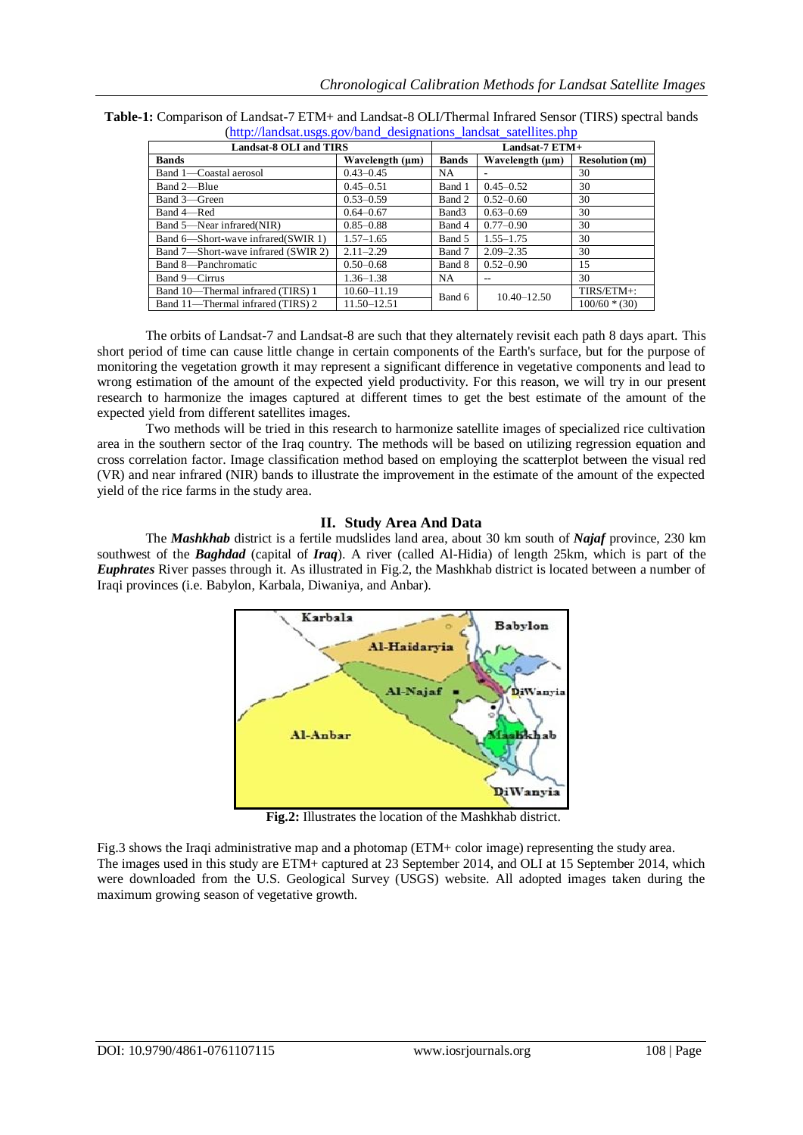| (nttp://idilusat.usgs.gov/banu-ucsignations-idilusat-satchnes.php |                      |                |                 |                       |  |  |  |  |
|-------------------------------------------------------------------|----------------------|----------------|-----------------|-----------------------|--|--|--|--|
| <b>Landsat-8 OLI and TIRS</b>                                     |                      | Landsat-7 ETM+ |                 |                       |  |  |  |  |
| <b>Bands</b>                                                      | Wavelength $(\mu m)$ | <b>Bands</b>   | Wavelength (µm) | <b>Resolution (m)</b> |  |  |  |  |
| Band 1—Coastal aerosol                                            | $0.43 - 0.45$        | NA.            |                 | 30                    |  |  |  |  |
| Band 2-Blue                                                       | $0.45 - 0.51$        | Band 1         | $0.45 - 0.52$   | 30                    |  |  |  |  |
| Band 3—Green                                                      | $0.53 - 0.59$        | Band 2         | $0.52 - 0.60$   | 30                    |  |  |  |  |
| Band 4-Red                                                        | $0.64 - 0.67$        | Band3          | $0.63 - 0.69$   | 30                    |  |  |  |  |
| Band 5—Near infrared(NIR)                                         | $0.85 - 0.88$        | Band 4         | $0.77 - 0.90$   | 30                    |  |  |  |  |
| Band 6-Short-wave infrared (SWIR 1)                               | $1.57 - 1.65$        | Band 5         | $1.55 - 1.75$   | 30                    |  |  |  |  |
| Band 7—Short-wave infrared (SWIR 2)                               | $2.11 - 2.29$        | Band 7         | $2.09 - 2.35$   | 30                    |  |  |  |  |
| Band 8-Panchromatic                                               | $0.50 - 0.68$        | Band 8         | $0.52 - 0.90$   | 15                    |  |  |  |  |
| Band 9-Cirrus                                                     | $1.36 - 1.38$        | NA             |                 | 30                    |  |  |  |  |
| Band 10—Thermal infrared (TIRS) 1                                 | $10.60 - 11.19$      | Band 6         | $10.40 - 12.50$ | TIRS/ETM+:            |  |  |  |  |
| Band 11—Thermal infrared (TIRS) 2                                 | 11.50-12.51          |                |                 | $100/60 * (30)$       |  |  |  |  |

| Table-1: Comparison of Landsat-7 ETM+ and Landsat-8 OLI/Thermal Infrared Sensor (TIRS) spectral bands |  |
|-------------------------------------------------------------------------------------------------------|--|
| (http://landsat.usgs.gov/band_designations_landsat_satellites.php                                     |  |

The orbits of Landsat-7 and Landsat-8 are such that they alternately revisit each path 8 days apart. This short period of time can cause little change in certain components of the Earth's surface, but for the purpose of monitoring the vegetation growth it may represent a significant difference in vegetative components and lead to wrong estimation of the amount of the expected yield productivity. For this reason, we will try in our present research to harmonize the images captured at different times to get the best estimate of the amount of the expected yield from different satellites images.

Two methods will be tried in this research to harmonize satellite images of specialized rice cultivation area in the southern sector of the Iraq country. The methods will be based on utilizing regression equation and cross correlation factor. Image classification method based on employing the scatterplot between the visual red (VR) and near infrared (NIR) bands to illustrate the improvement in the estimate of the amount of the expected yield of the rice farms in the study area.

## **II. Study Area And Data**

The *Mashkhab* district is a fertile mudslides land area, about 30 km south of *Najaf* province, 230 km southwest of the *Baghdad* (capital of *Iraq*). A river (called Al-Hidia) of length 25km, which is part of the *Euphrates* River passes through it. As illustrated in Fig.2, the Mashkhab district is located between a number of Iraqi provinces (i.e. Babylon, Karbala, Diwaniya, and Anbar).



**Fig.2:** Illustrates the location of the Mashkhab district.

Fig.3 shows the Iraqi administrative map and a photomap (ETM+ color image) representing the study area. The images used in this study are ETM+ captured at 23 September 2014, and OLI at 15 September 2014, which were downloaded from the U.S. Geological Survey (USGS) website. All adopted images taken during the maximum growing season of vegetative growth.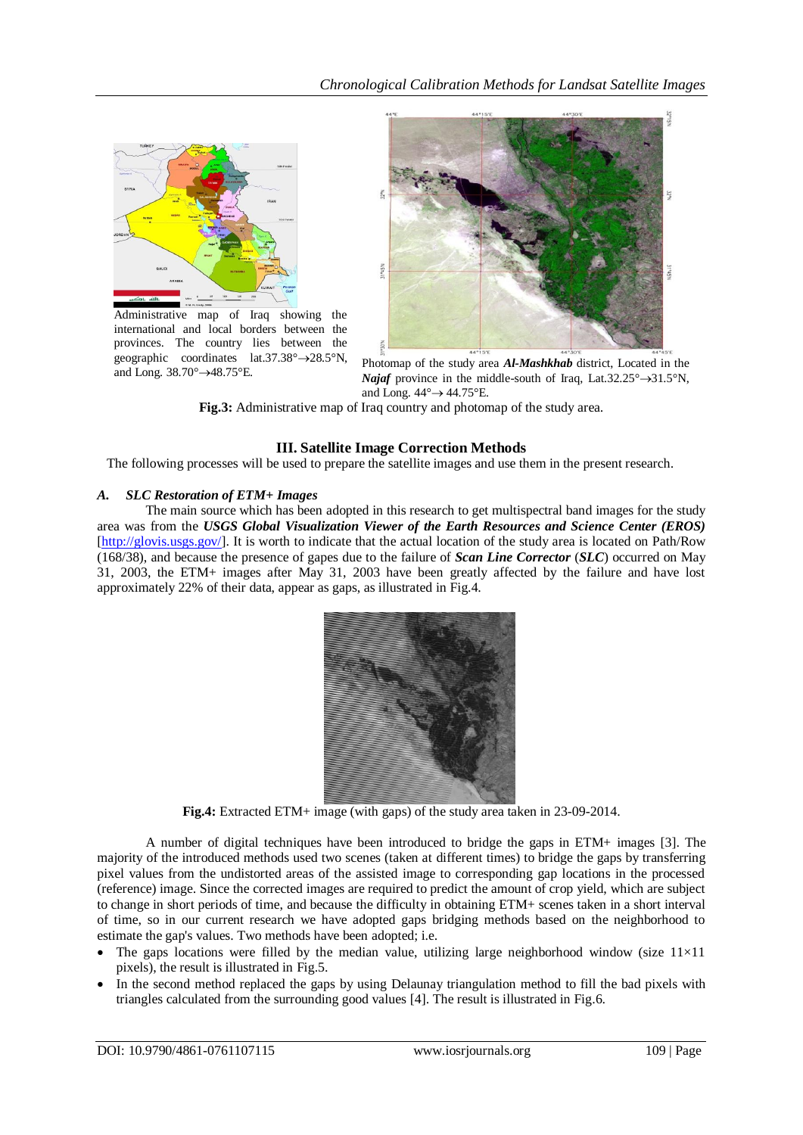

Administrative map of Iraq showing the international and local borders between the provinces. The country lies between the geographic coordinates lat.37.38° $\rightarrow$ 28.5°N, and Long.  $38.70^\circ \rightarrow 48.75^\circ E$ .



Photomap of the study area *Al-Mashkhab* district, Located in the *Najaf* province in the middle-south of Iraq, Lat.32.25 $\degree$  $\rightarrow$ 31.5 $\degree$ N, and Long.  $44^\circ \rightarrow 44.75^\circ E$ .

**Fig.3:** Administrative map of Iraq country and photomap of the study area.

## **III. Satellite Image Correction Methods**

The following processes will be used to prepare the satellite images and use them in the present research.

### *A. SLC Restoration of ETM+ Images*

The main source which has been adopted in this research to get multispectral band images for the study area was from the *USGS Global Visualization Viewer of the Earth Resources and Science Center (EROS)* [\[http://glovis.usgs.gov/\]](http://glovis.usgs.gov/). It is worth to indicate that the actual location of the study area is located on Path/Row (168/38), and because the presence of gapes due to the failure of *Scan Line Corrector* (*SLC*) occurred on May 31, 2003, the ETM+ images after May 31, 2003 have been greatly affected by the failure and have lost approximately 22% of their data, appear as gaps, as illustrated in Fig.4.



**Fig.4:** Extracted ETM+ image (with gaps) of the study area taken in 23-09-2014.

A number of digital techniques have been introduced to bridge the gaps in ETM+ images [3]. The majority of the introduced methods used two scenes (taken at different times) to bridge the gaps by transferring pixel values from the undistorted areas of the assisted image to corresponding gap locations in the processed (reference) image. Since the corrected images are required to predict the amount of crop yield, which are subject to change in short periods of time, and because the difficulty in obtaining ETM+ scenes taken in a short interval of time, so in our current research we have adopted gaps bridging methods based on the neighborhood to estimate the gap's values. Two methods have been adopted; i.e.

- The gaps locations were filled by the median value, utilizing large neighborhood window (size  $11\times11$ ) pixels), the result is illustrated in Fig.5.
- In the second method replaced the gaps by using Delaunay triangulation method to fill the bad pixels with triangles calculated from the surrounding good values [4]. The result is illustrated in Fig.6.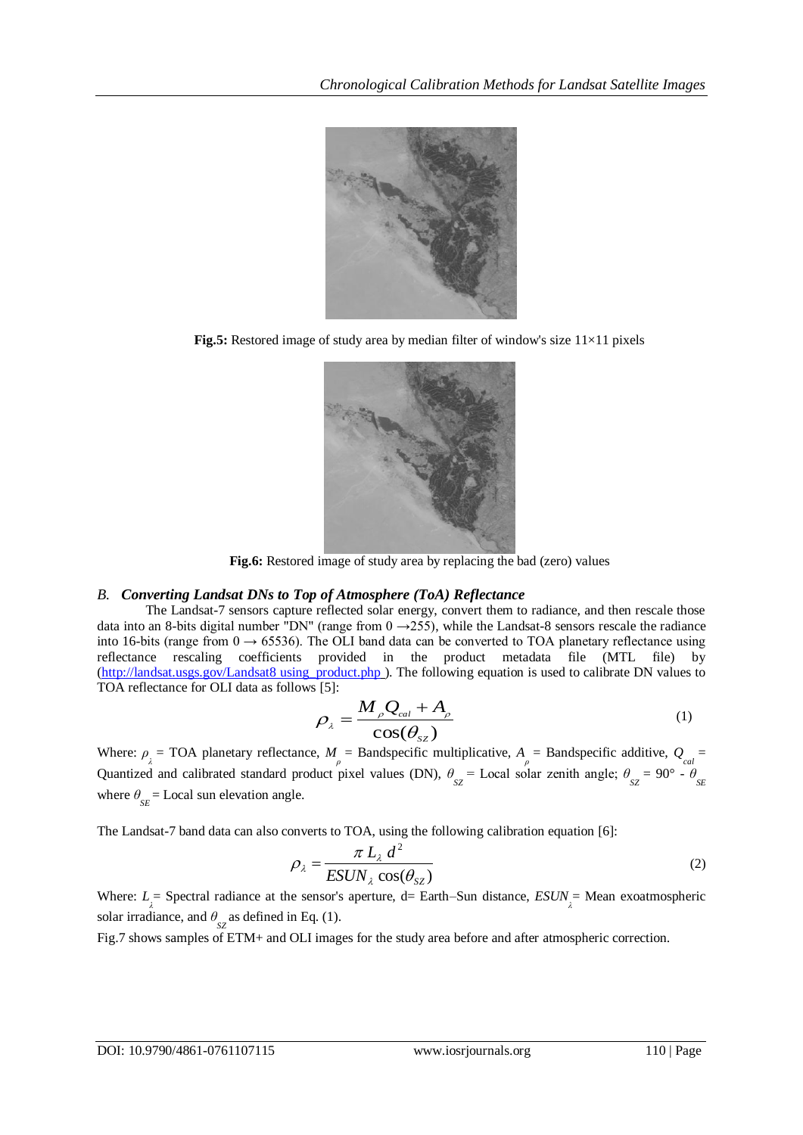

**Fig.5:** Restored image of study area by median filter of window's size 11×11 pixels



**Fig.6:** Restored image of study area by replacing the bad (zero) values

## *B. Converting Landsat DNs to Top of Atmosphere (ToA) Reflectance*

The Landsat-7 sensors capture reflected solar energy, convert them to radiance, and then rescale those data into an 8-bits digital number "DN" (range from  $0 \rightarrow 255$ ), while the Landsat-8 sensors rescale the radiance into 16-bits (range from  $0 \rightarrow 65536$ ). The OLI band data can be converted to TOA planetary reflectance using reflectance rescaling coefficients provided in the product metadata file (MTL file) by [\(http://landsat.usgs.gov/Landsat8 using\\_product.php](http://landsat.usgs.gov/Landsat8%20using_product.php)). The following equation is used to calibrate DN values to TOA reflectance for OLI data as follows [5]:

$$
\rho_{\lambda} = \frac{M_{\rho} Q_{cal} + A_{\rho}}{\cos(\theta_{sz})}
$$
\n(1)

Where:  $\rho_{\lambda}$  = TOA planetary reflectance,  $M_{\rho}$  = Bandspecific multiplicative,  $A_{\rho}$  = Bandspecific additive,  $Q_{cal}$  = Quantized and calibrated standard product pixel values (DN),  $\theta_{SZ} =$  Local solar zenith angle;  $\theta_{SZ} = 90^\circ$  -  $\theta_{SE}$ where  $\theta_{SE}$  = Local sun elevation angle.

The Landsat-7 band data can also converts to TOA, using the following calibration equation [6]:

$$
\rho_{\lambda} = \frac{\pi L_{\lambda} d^2}{ESUN_{\lambda} \cos(\theta_{SZ})}
$$
\n(2)

Where:  $L_{\lambda}$  = Spectral radiance at the sensor's aperture, d= Earth–Sun distance,  $ESUN_{\lambda}$  = Mean exoatmospheric solar irradiance, and  $\theta_{SZ}$  as defined in Eq. (1).

Fig.7 shows samples of ETM+ and OLI images for the study area before and after atmospheric correction.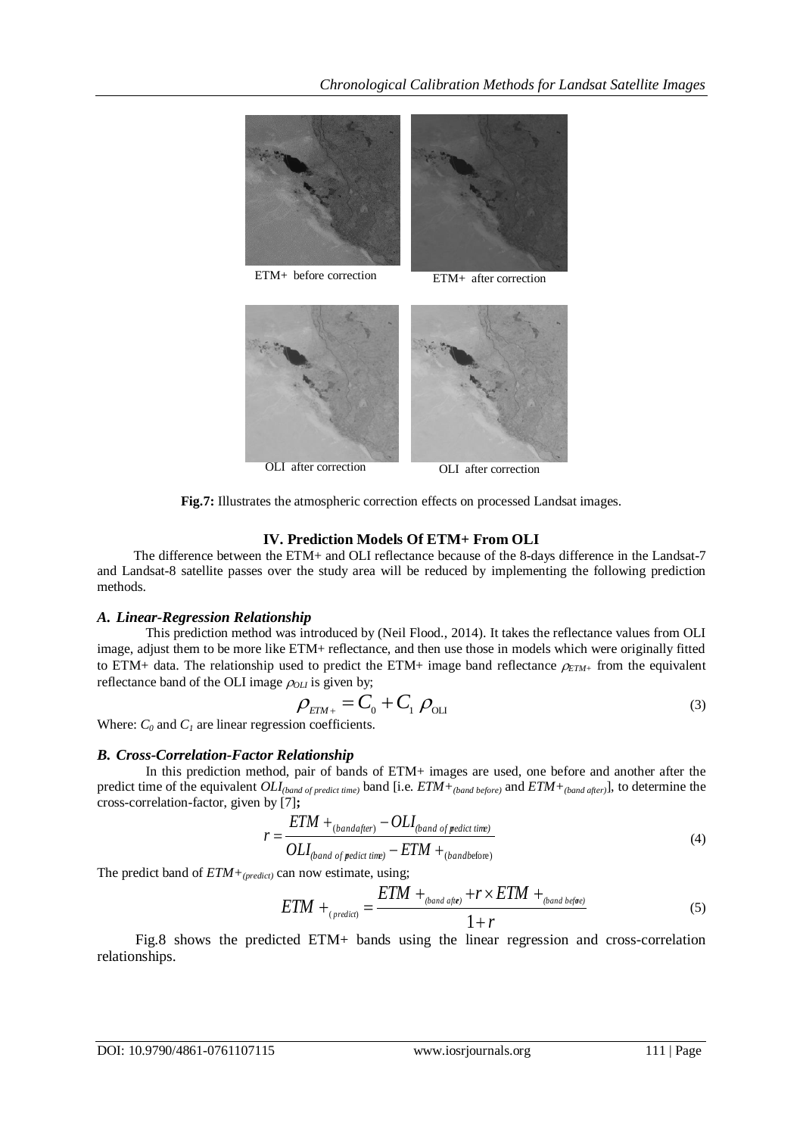

OLI after correction OLI after correction

**Fig.7:** Illustrates the atmospheric correction effects on processed Landsat images.

## **IV. Prediction Models Of ETM+ From OLI**

The difference between the ETM+ and OLI reflectance because of the 8-days difference in the Landsat-7 and Landsat-8 satellite passes over the study area will be reduced by implementing the following prediction methods.

#### *A. Linear-Regression Relationship*

This prediction method was introduced by (Neil Flood., 2014). It takes the reflectance values from OLI image, adjust them to be more like ETM+ reflectance, and then use those in models which were originally fitted to ETM+ data. The relationship used to predict the ETM+ image band reflectance  $\rho_{ETM+}$  from the equivalent reflectance band of the OLI image  $\rho_{OL}$  is given by;

$$
\rho_{\text{ETM+}} = C_0 + C_1 \rho_{\text{OL}}
$$
\n<sup>(3)</sup>

Where:  $C_0$  and  $C_1$  are linear regression coefficients.

## *B. Cross-Correlation-Factor Relationship*

In this prediction method, pair of bands of ETM+ images are used, one before and another after the predict time of the equivalent *OLI(band of predict time)* band [i.e. *ETM+(band before)* and *ETM+(band after)*], to determine the cross-correlation-factor, given by [7]**;**

$$
r = \frac{ETM +_{(band\text{after})} - OLI_{(band\text{of predict time})}}{OLI_{(band\text{of predict time})} - ETM +_{(band\text{before})}}
$$
\n(4)

The predict band of *ETM+(predict)* can now estimate, using;

$$
ETM +_{\text{(predict)}} = \frac{ETM +_{\text{(band after)}} + r \times ETM +_{\text{(band before)}}}{1 + r}
$$
\n
$$
(5)
$$

Fig.8 shows the predicted ETM+ bands using the linear regression and cross-correlation relationships.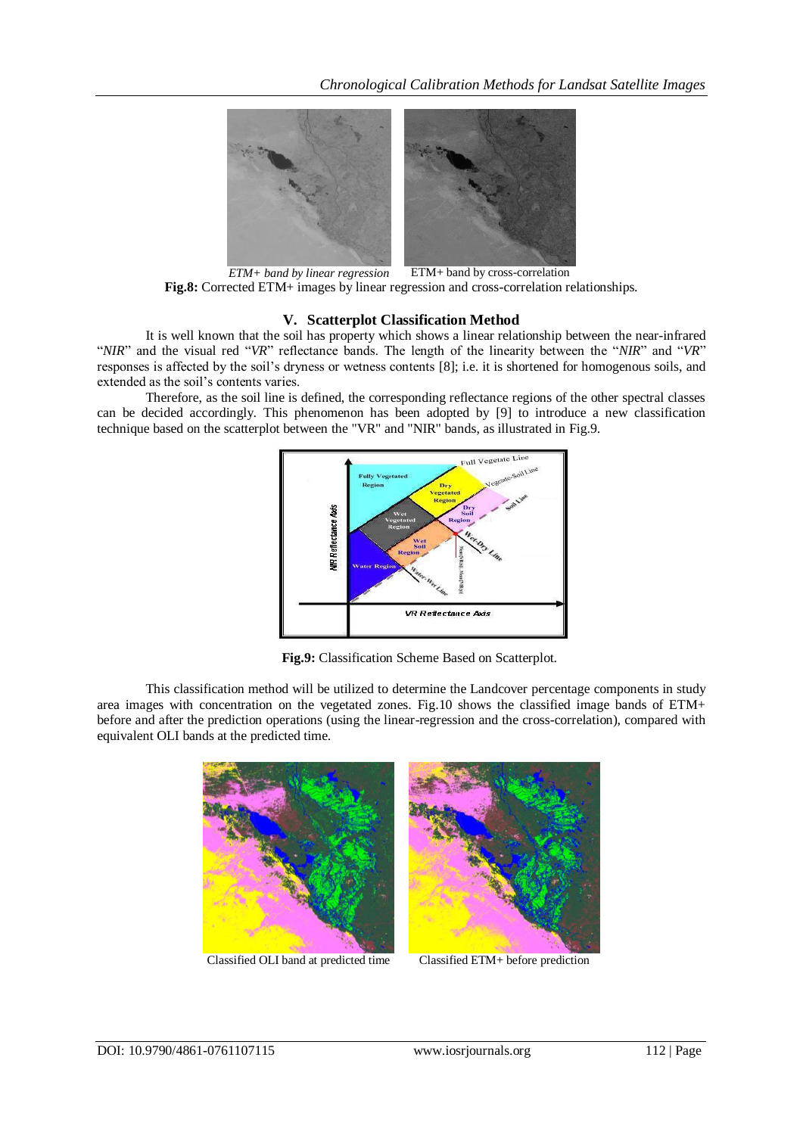

*ETM+ band by linear regression* ETM+ band by cross-correlation **Fig.8:** Corrected ETM+ images by linear regression and cross-correlation relationships.

## **V. Scatterplot Classification Method**

It is well known that the soil has property which shows a linear relationship between the near-infrared "NIR" and the visual red "VR" reflectance bands. The length of the linearity between the "NIR" and "VR" responses is affected by the soil's dryness or wetness contents [8]; i.e. it is shortened for homogenous soils, and extended as the soil's contents varies.

Therefore, as the soil line is defined, the corresponding reflectance regions of the other spectral classes can be decided accordingly. This phenomenon has been adopted by [9] to introduce a new classification technique based on the scatterplot between the "VR" and "NIR" bands, as illustrated in Fig.9.



**Fig.9:** Classification Scheme Based on Scatterplot.

This classification method will be utilized to determine the Landcover percentage components in study area images with concentration on the vegetated zones. Fig.10 shows the classified image bands of ETM+ before and after the prediction operations (using the linear-regression and the cross-correlation), compared with equivalent OLI bands at the predicted time.



Classified OLI band at predicted time Classified ETM+ before prediction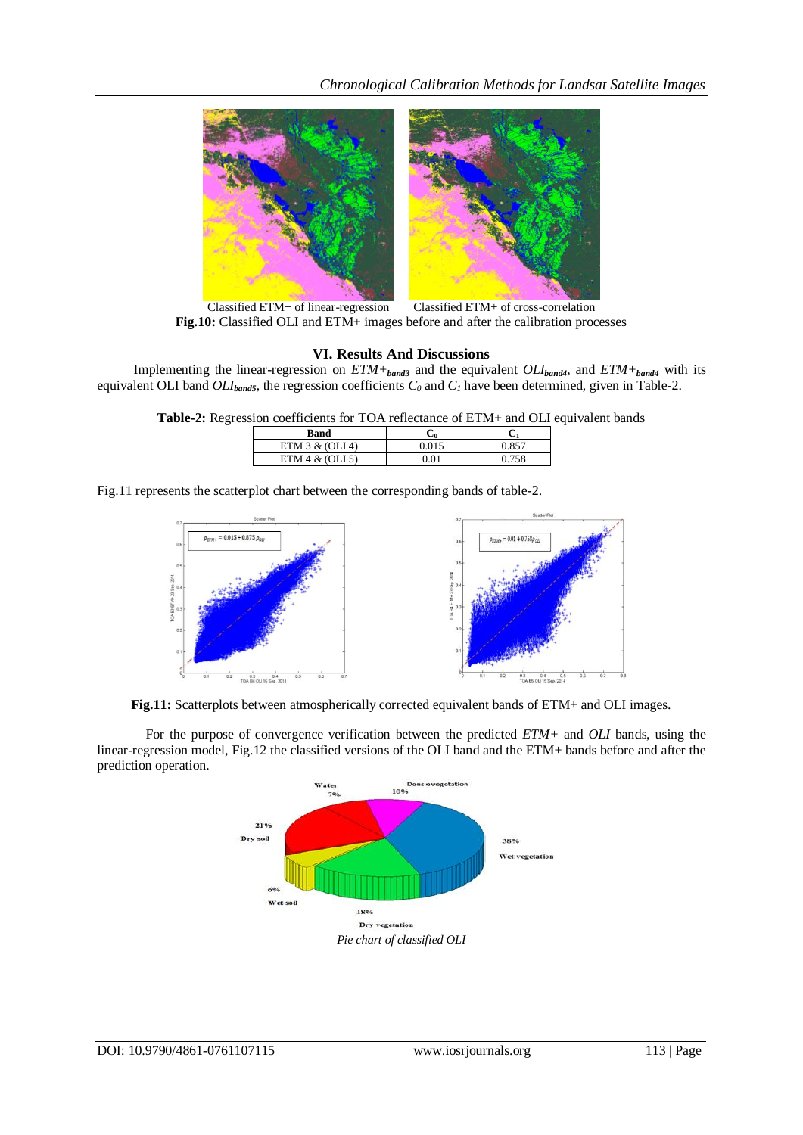

Classified ETM+ of linear-regression Classified ETM+ of cross-correlation **Fig.10:** Classified OLI and ETM+ images before and after the calibration processes

## **VI. Results And Discussions**

Implementing the linear-regression on *ETM+band3* and the equivalent *OLIband4*, and *ETM+band4* with its equivalent OLI band  $OLI_{bands}$ , the regression coefficients  $C_0$  and  $C_1$  have been determined, given in Table-2.

**Table-2:** Regression coefficients for TOA reflectance of ETM+ and OLI equivalent bands

| Band              |  |
|-------------------|--|
| ETM $3 & (OLI 4)$ |  |
| ETM $4 & (OLI 5)$ |  |

Fig.11 represents the scatterplot chart between the corresponding bands of table-2.



**Fig.11:** Scatterplots between atmospherically corrected equivalent bands of ETM+ and OLI images.

For the purpose of convergence verification between the predicted *ETM+* and *OLI* bands, using the linear-regression model, Fig.12 the classified versions of the OLI band and the ETM+ bands before and after the prediction operation.

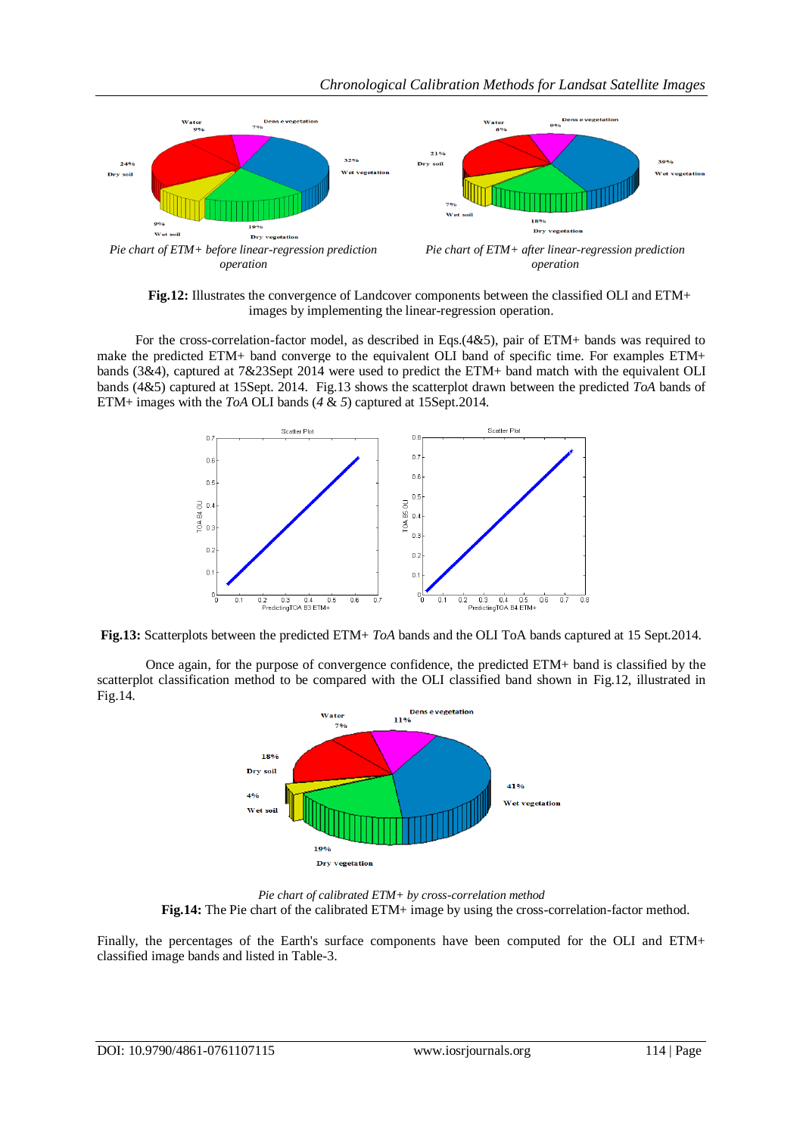

**Fig.12:** Illustrates the convergence of Landcover components between the classified OLI and ETM+ images by implementing the linear-regression operation.

For the cross-correlation-factor model, as described in Eqs.(4&5), pair of ETM+ bands was required to make the predicted ETM+ band converge to the equivalent OLI band of specific time. For examples ETM+ bands (3&4), captured at 7&23Sept 2014 were used to predict the ETM+ band match with the equivalent OLI bands (4&5) captured at 15Sept. 2014. Fig.13 shows the scatterplot drawn between the predicted *ToA* bands of ETM+ images with the *ToA* OLI bands (*4* & *5*) captured at 15Sept.2014.



**Fig.13:** Scatterplots between the predicted ETM+ *ToA* bands and the OLI ToA bands captured at 15 Sept.2014.

Once again, for the purpose of convergence confidence, the predicted ETM+ band is classified by the scatterplot classification method to be compared with the OLI classified band shown in Fig.12, illustrated in Fig.14.



*Pie chart of calibrated ETM+ by cross-correlation method* **Fig.14:** The Pie chart of the calibrated ETM+ image by using the cross-correlation-factor method.

Finally, the percentages of the Earth's surface components have been computed for the OLI and ETM+ classified image bands and listed in Table-3.